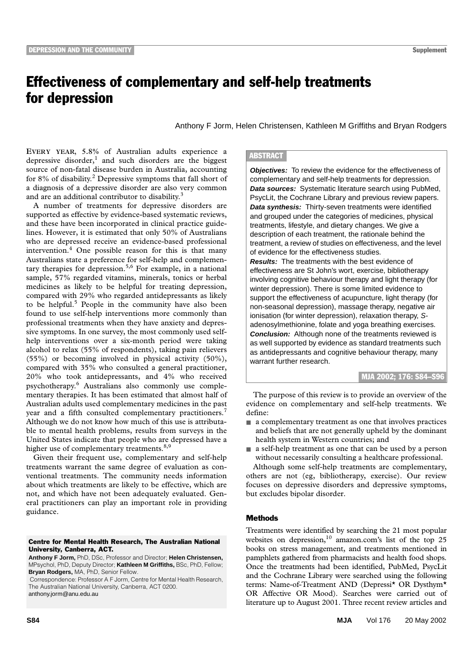# Effectiveness of complementary and self-help treatments for depression

Anthony F Jorm, Helen Christensen, Kathleen M Griffiths and Bryan Rodgers

source of non-fatal disease burden in Australia, accounting for 8% of disability.<sup>2</sup> Depressive symptoms that fall short of a diagnosis of a depressive disorder are also very common and are an additional contributor to disability.<sup>3</sup> **EVERY YEAR, 5.8%** of Australian adults experience a depressive disorder,<sup>1</sup> and such disorders are the biggest

A number of treatments for depressive disorders are supported as effective by evidence-based systematic reviews, and these have been incorporated in clinical practice guidelines. However, it is estimated that only 50% of Australians who are depressed receive an evidence-based professional intervention.<sup>4</sup> One possible reason for this is that many Australians state a preference for self-help and complementary therapies for depression.<sup>5,6</sup> For example, in a national sample, 57% regarded vitamins, minerals, tonics or herbal medicines as likely to be helpful for treating depression, compared with 29% who regarded antidepressants as likely to be helpful.<sup>5</sup> People in the community have also been found to use self-help interventions more commonly than professional treatments when they have anxiety and depressive symptoms. In one survey, the most commonly used selfhelp interventions over a six-month period were taking alcohol to relax (55% of respondents), taking pain relievers (55%) or becoming involved in physical activity (50%), compared with 35% who consulted a general practitioner, 20% who took antidepressants, and 4% who received psychotherapy.6 Australians also commonly use complementary therapies. It has been estimated that almost half of Australian adults used complementary medicines in the past year and a fifth consulted complementary practitioners.<sup>7</sup> Although we do not know how much of this use is attributable to mental health problems, results from surveys in the United States indicate that people who are depressed have a higher use of complementary treatments.<sup>8,9</sup>

Given their frequent use, complementary and self-help treatments warrant the same degree of evaluation as conventional treatments. The community needs information about which treatments are likely to be effective, which are not, and which have not been adequately evaluated. General practitioners can play an important role in providing guidance.

### Centre for Mental Health Research, The Australian National University, Canberra, ACT.

**Anthony F Jorm,** PhD, DSc, Professor and Director; **Helen Christensen,**  MPsychol, PhD, Deputy Director; **Kathleen M Griffiths,** BSc, PhD, Fellow; **Bryan Rodgers,** MA, PhD, Senior Fellow.

 Correspondence: Professor A F Jorm, Centre for Mental Health Research, The Australian National University, Canberra, ACT 0200. anthony.jorm@anu.edu.au

## **ABSTRACT**

**Objectives:** To review the evidence for the effectiveness of complementary and self-help treatments for depression. **Data sources:** Systematic literature search using PubMed, PsycLit, the Cochrane Library and previous review papers. **Data synthesis:** Thirty-seven treatments were identified and grouped under the categories of medicines, physical treatments, lifestyle, and dietary changes. We give a description of each treatment, the rationale behind the treatment, a review of studies on effectiveness, and the level of evidence for the effectiveness studies. **Results:** The treatments with the best evidence of

effectiveness are St John's wort, exercise, bibliotherapy involving cognitive behaviour therapy and light therapy (for winter depression). There is some limited evidence to support the effectiveness of acupuncture, light therapy (for non-seasonal depression), massage therapy, negative air ionisation (for winter depression), relaxation therapy, Sadenosylmethionine, folate and yoga breathing exercises. **Conclusion:** Although none of the treatments reviewed is as well supported by evidence as standard treatments such as antidepressants and cognitive behaviour therapy, many warrant further research.

MJA 2002; 176: S84–S96

The purpose of this review is to provide an overview of the evidence on complementary and self-help treatments. We define:

- a complementary treatment as one that involves practices and beliefs that are not generally upheld by the dominant health system in Western countries; and
- a self-help treatment as one that can be used by a person without necessarily consulting a healthcare professional.

Although some self-help treatments are complementary, others are not (eg, bibliotherapy, exercise). Our review focuses on depressive disorders and depressive symptoms, but excludes bipolar disorder.

## **Methods**

Treatments were identified by searching the 21 most popular websites on depression, $10$  amazon.com's list of the top 25 books on stress management, and treatments mentioned in pamphlets gathered from pharmacists and health food shops. Once the treatments had been identified, PubMed, PsycLit and the Cochrane Library were searched using the following terms: Name-of-Treatment AND (Depressi\* OR Dysthym\* OR Affective OR Mood). Searches were carried out of literature up to August 2001. Three recent review articles and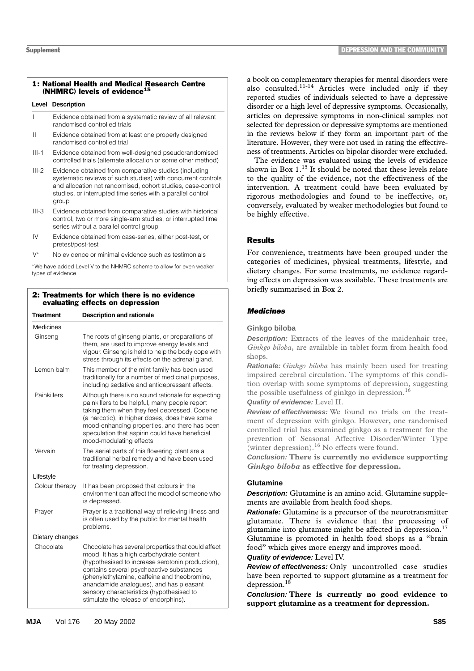## 1: National Health and Medical Research Centre (NHMRC) levels of evidence<sup>15</sup>

### **Level Description**

- I Evidence obtained from a systematic review of all relevant randomised controlled trials
- II Evidence obtained from at least one properly designed randomised controlled trial
- III-1 Evidence obtained from well-designed pseudorandomised controlled trials (alternate allocation or some other method)
- III-2 Evidence obtained from comparative studies (including systematic reviews of such studies) with concurrent controls and allocation not randomised, cohort studies, case-control studies, or interrupted time series with a parallel control group
- III-3 Evidence obtained from comparative studies with historical control, two or more single-arm studies, or interrupted time series without a parallel control group
- IV Evidence obtained from case-series, either post-test, or pretest/post-test
- No evidence or minimal evidence such as testimonials

\*We have added Level V to the NHMRC scheme to allow for even weaker types of evidence

## 2: Treatments for which there is no evidence evaluating effects on depression

| Treatment       | <b>Description and rationale</b>                                                                                                                                                                                                                                                                                                                                               |
|-----------------|--------------------------------------------------------------------------------------------------------------------------------------------------------------------------------------------------------------------------------------------------------------------------------------------------------------------------------------------------------------------------------|
| Medicines       |                                                                                                                                                                                                                                                                                                                                                                                |
| Ginseng         | The roots of ginseng plants, or preparations of<br>them, are used to improve energy levels and<br>vigour. Ginseng is held to help the body cope with<br>stress through its effects on the adrenal gland.                                                                                                                                                                       |
| Lemon balm      | This member of the mint family has been used<br>traditionally for a number of medicinal purposes,<br>including sedative and antidepressant effects.                                                                                                                                                                                                                            |
| Painkillers     | Although there is no sound rationale for expecting<br>painkillers to be helpful, many people report<br>taking them when they feel depressed. Codeine<br>(a narcotic), in higher doses, does have some<br>mood-enhancing properties, and there has been<br>speculation that aspirin could have beneficial<br>mood-modulating effects.                                           |
| Vervain         | The aerial parts of this flowering plant are a<br>traditional herbal remedy and have been used<br>for treating depression.                                                                                                                                                                                                                                                     |
| Lifestyle       |                                                                                                                                                                                                                                                                                                                                                                                |
| Colour therapy  | It has been proposed that colours in the<br>environment can affect the mood of someone who<br>is depressed.                                                                                                                                                                                                                                                                    |
| Prayer          | Prayer is a traditional way of relieving illness and<br>is often used by the public for mental health<br>problems.                                                                                                                                                                                                                                                             |
| Dietary changes |                                                                                                                                                                                                                                                                                                                                                                                |
| Chocolate       | Chocolate has several properties that could affect<br>mood. It has a high carbohydrate content<br>(hypothesised to increase serotonin production),<br>contains several psychoactive substances<br>(phenylethylamine, caffeine and theobromine,<br>anandamide analogues), and has pleasant<br>sensory characteristics (hypothesised to<br>stimulate the release of endorphins). |

a book on complementary therapies for mental disorders were also consulted.11-14 Articles were included only if they reported studies of individuals selected to have a depressive disorder or a high level of depressive symptoms. Occasionally, articles on depressive symptoms in non-clinical samples not selected for depression or depressive symptoms are mentioned in the reviews below if they form an important part of the literature. However, they were not used in rating the effectiveness of treatments. Articles on bipolar disorder were excluded.

The evidence was evaluated using the levels of evidence shown in Box  $1.^{15}$  It should be noted that these levels relate to the quality of the evidence, not the effectiveness of the intervention. A treatment could have been evaluated by rigorous methodologies and found to be ineffective, or, conversely, evaluated by weaker methodologies but found to be highly effective.

## Results

For convenience, treatments have been grouped under the categories of medicines, physical treatments, lifestyle, and dietary changes. For some treatments, no evidence regarding effects on depression was available. These treatments are briefly summarised in Box 2.

## *Medicines*

## **Ginkgo biloba**

**Description:** Extracts of the leaves of the maidenhair tree, *Ginkgo biloba*, are available in tablet form from health food shops.

**Rationale:** *Ginkgo biloba* has mainly been used for treating impaired cerebral circulation. The symptoms of this condition overlap with some symptoms of depression, suggesting the possible usefulness of ginkgo in depression.<sup>16</sup>

## **Quality of evidence:** Level II.

**Review of effectiveness:** We found no trials on the treatment of depression with ginkgo. However, one randomised controlled trial has examined ginkgo as a treatment for the prevention of Seasonal Affective Disorder/Winter Type (winter depression).<sup>16</sup> No effects were found.

**Conclusion: There is currently no evidence supporting** *Ginkgo biloba* **as effective for depression.**

## **Glutamine**

**Description:** Glutamine is an amino acid. Glutamine supplements are available from health food shops.

**Rationale:** Glutamine is a precursor of the neurotransmitter glutamate. There is evidence that the processing of glutamine into glutamate might be affected in depression.<sup>17</sup> Glutamine is promoted in health food shops as a "brain food" which gives more energy and improves mood.

## **Quality of evidence:** Level IV.

**Review of effectiveness:** Only uncontrolled case studies have been reported to support glutamine as a treatment for depression.<sup>18</sup>

**Conclusion: There is currently no good evidence to support glutamine as a treatment for depression.**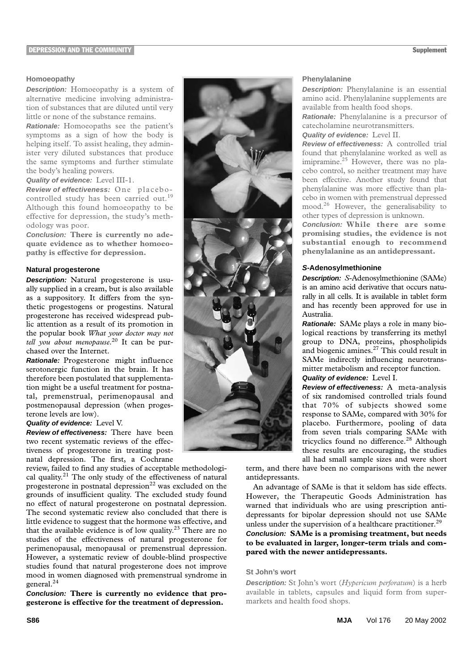#### **DEPRESSION AND THE COMMUNITY** Supplement

## **Homoeopathy**

**Description:** Homoeopathy is a system of alternative medicine involving administration of substances that are diluted until very little or none of the substance remains.

**Rationale:** Homoeopaths see the patient's symptoms as a sign of how the body is helping itself. To assist healing, they administer very diluted substances that produce the same symptoms and further stimulate the body's healing powers.

**Quality of evidence:** Level III-1.

**Review of effectiveness:** One placebocontrolled study has been carried out.<sup>19</sup> Although this found homoeopathy to be effective for depression, the study's methodology was poor.

**Conclusion: There is currently no adequate evidence as to whether homoeopathy is effective for depression.**

## **Natural progesterone**

**Description:** Natural progesterone is usually supplied in a cream, but is also available as a suppository. It differs from the synthetic progestogens or progestins. Natural progesterone has received widespread public attention as a result of its promotion in the popular book *What your doctor may not tell you about menopause*. 20 It can be purchased over the Internet.

**Rationale:** Progesterone might influence serotonergic function in the brain. It has therefore been postulated that supplementation might be a useful treatment for postnatal, premenstrual, perimenopausal and postmenopausal depression (when progesterone levels are low).

## **Quality of evidence:** Level V.

**Review of effectiveness:** There have been two recent systematic reviews of the effectiveness of progesterone in treating postnatal depression. The first, a Cochrane

review, failed to find any studies of acceptable methodological quality.<sup>21</sup> The only study of the effectiveness of natural progesterone in postnatal depression $^{22}$  was excluded on the grounds of insufficient quality. The excluded study found no effect of natural progesterone on postnatal depression. The second systematic review also concluded that there is little evidence to suggest that the hormone was effective, and that the available evidence is of low quality.<sup>23</sup> There are no studies of the effectiveness of natural progesterone for perimenopausal, menopausal or premenstrual depression. However, a systematic review of double-blind prospective studies found that natural progesterone does not improve mood in women diagnosed with premenstrual syndrome in general.<sup>24</sup>

**Conclusion: There is currently no evidence that progesterone is effective for the treatment of depression.**



#### **Phenylalanine**

**Description:** Phenylalanine is an essential amino acid. Phenylalanine supplements are available from health food shops.

**Rationale:** Phenylalanine is a precursor of catecholamine neurotransmitters.

**Quality of evidence:** Level II.

**Review of effectiveness:** A controlled trial found that phenylalanine worked as well as imipramine.<sup>25</sup> However, there was no placebo control, so neither treatment may have been effective. Another study found that phenylalanine was more effective than placebo in women with premenstrual depressed mood.26 However, the generalisability to other types of depression is unknown.

**Conclusion: While there are some promising studies, the evidence is not substantial enough to recommend phenylalanine as an antidepressant.**

## **S-Adenosylmethionine**

**Description:** *S*-Adenosylmethionine (SAMe) is an amino acid derivative that occurs naturally in all cells. It is available in tablet form and has recently been approved for use in Australia.

**Rationale:** SAMe plays a role in many biological reactions by transferring its methyl group to DNA, proteins, phospholipids and biogenic amines.27 This could result in SAMe indirectly influencing neurotransmitter metabolism and receptor function.

**Quality of evidence:** Level I.

**Review of effectiveness:** A meta-analysis of six randomised controlled trials found that 70% of subjects showed some response to SAMe, compared with 30% for placebo. Furthermore, pooling of data from seven trials comparing SAMe with tricyclics found no difference.<sup>28</sup> Although these results are encouraging, the studies all had small sample sizes and were short

term, and there have been no comparisons with the newer antidepressants.

An advantage of SAMe is that it seldom has side effects. However, the Therapeutic Goods Administration has warned that individuals who are using prescription antidepressants for bipolar depression should not use SAMe unless under the supervision of a healthcare practitioner. $^{29}$ 

**Conclusion: SAMe is a promising treatment, but needs to be evaluated in larger, longer-term trials and compared with the newer antidepressants.**

## **St John's wort**

**Description:** St John's wort (*Hypericum perforatum*) is a herb available in tablets, capsules and liquid form from supermarkets and health food shops.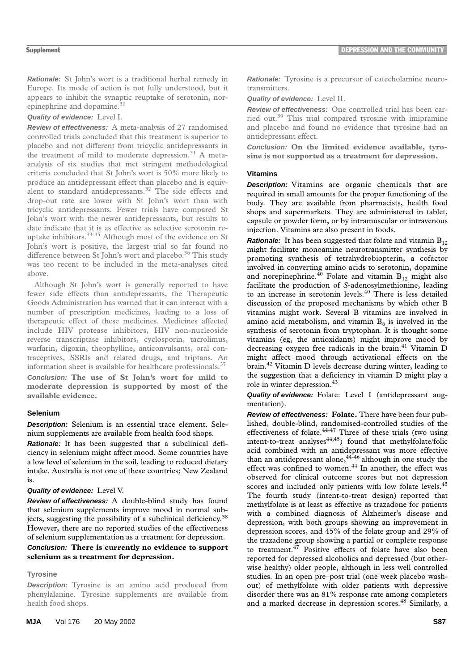**Rationale:** St John's wort is a traditional herbal remedy in Europe. Its mode of action is not fully understood, but it appears to inhibit the synaptic reuptake of serotonin, norepinephrine and dopamine.<sup>30</sup>

**Quality of evidence:** Level I.

**Review of effectiveness:** A meta-analysis of 27 randomised controlled trials concluded that this treatment is superior to placebo and not different from tricyclic antidepressants in the treatment of mild to moderate depression.<sup>31</sup> A metaanalysis of six studies that met stringent methodological criteria concluded that St John's wort is 50% more likely to produce an antidepressant effect than placebo and is equivalent to standard antidepressants.<sup>32</sup> The side effects and drop-out rate are lower with St John's wort than with tricyclic antidepressants. Fewer trials have compared St John's wort with the newer antidepressants, but results to date indicate that it is as effective as selective serotonin reuptake inhibitors.33-35 Although most of the evidence on St John's wort is positive, the largest trial so far found no difference between St John's wort and placebo.<sup>36</sup> This study was too recent to be included in the meta-analyses cited above.

Although St John's wort is generally reported to have fewer side effects than antidepressants, the Therapeutic Goods Administration has warned that it can interact with a number of prescription medicines, leading to a loss of therapeutic effect of these medicines. Medicines affected include HIV protease inhibitors, HIV non-nucleoside reverse transcriptase inhibitors, cyclosporin, tacrolimus, warfarin, digoxin, theophylline, anticonvulsants, oral contraceptives, SSRIs and related drugs, and triptans. An information sheet is available for healthcare professionals. $37$ 

**Conclusion: The use of St John's wort for mild to moderate depression is supported by most of the available evidence.**

## **Selenium**

**Description:** Selenium is an essential trace element. Selenium supplements are available from health food shops.

**Rationale:** It has been suggested that a subclinical deficiency in selenium might affect mood. Some countries have a low level of selenium in the soil, leading to reduced dietary intake. Australia is not one of these countries; New Zealand is.

## **Quality of evidence:** Level V.

**Review of effectiveness:** A double-blind study has found that selenium supplements improve mood in normal subjects, suggesting the possibility of a subclinical deficiency.<sup>38</sup> However, there are no reported studies of the effectiveness of selenium supplementation as a treatment for depression.

## **Conclusion: There is currently no evidence to support selenium as a treatment for depression.**

## **Tyrosine**

**Description:** Tyrosine is an amino acid produced from phenylalanine. Tyrosine supplements are available from health food shops.

**Rationale:** Tyrosine is a precursor of catecholamine neurotransmitters.

**Quality of evidence:** Level II.

**Review of effectiveness:** One controlled trial has been carried out.39 This trial compared tyrosine with imipramine and placebo and found no evidence that tyrosine had an antidepressant effect.

**Conclusion: On the limited evidence available, tyrosine is not supported as a treatment for depression.**

## **Vitamins**

**Description:** Vitamins are organic chemicals that are required in small amounts for the proper functioning of the body. They are available from pharmacists, health food shops and supermarkets. They are administered in tablet, capsule or powder form, or by intramuscular or intravenous injection. Vitamins are also present in foods.

**Rationale:** It has been suggested that folate and vitamin  $B_{12}$ might facilitate monoamine neurotransmitter synthesis by promoting synthesis of tetrahydrobiopterin, a cofactor involved in converting amino acids to serotonin, dopamine and norepinephrine.<sup>40</sup> Folate and vitamin  $B_{12}$  might also facilitate the production of *S*-adenosylmethionine, leading to an increase in serotonin levels.<sup>40</sup> There is less detailed discussion of the proposed mechanisms by which other B vitamins might work. Several B vitamins are involved in amino acid metabolism, and vitamin  $B_6$  is involved in the synthesis of serotonin from tryptophan. It is thought some vitamins (eg, the antioxidants) might improve mood by decreasing oxygen free radicals in the brain.<sup>41</sup> Vitamin D might affect mood through activational effects on the brain.42 Vitamin D levels decrease during winter, leading to the suggestion that a deficiency in vitamin D might play a role in winter depression.<sup>43</sup>

**Quality of evidence:** Folate: Level I (antidepressant augmentation).

**Review of effectiveness: Folate.** There have been four published, double-blind, randomised-controlled studies of the effectiveness of folate. $44-47$  Three of these trials (two using intent-to-treat analyses $44,45$ ) found that methylfolate/folic acid combined with an antidepressant was more effective than an antidepressant alone,  $44-46$  although in one study the effect was confined to women.<sup>44</sup> In another, the effect was observed for clinical outcome scores but not depression scores and included only patients with low folate levels.<sup>45</sup> The fourth study (intent-to-treat design) reported that methylfolate is at least as effective as trazadone for patients with a combined diagnosis of Alzheimer's disease and depression, with both groups showing an improvement in depression scores, and 45% of the folate group and 29% of the trazadone group showing a partial or complete response to treatment. $\frac{47}{17}$  Positive effects of folate have also been reported for depressed alcoholics and depressed (but otherwise healthy) older people, although in less well controlled studies. In an open pre–post trial (one week placebo washout) of methylfolate with older patients with depressive disorder there was an 81% response rate among completers and a marked decrease in depression scores. $48$  Similarly, a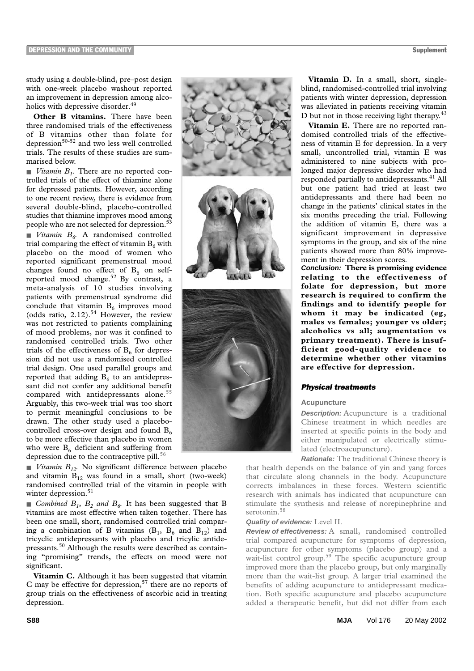**DEPRESSION AND THE COMMUNITY** Supplement

study using a double-blind, pre–post design with one-week placebo washout reported an improvement in depression among alcoholics with depressive disorder.<sup>49</sup>

**Other B vitamins.** There have been three randomised trials of the effectiveness of B vitamins other than folate for depression $50-52$  and two less well controlled trials. The results of these studies are summarised below.

■ *Vitamin B<sub>1</sub>*. There are no reported controlled trials of the effect of thiamine alone for depressed patients. However, according to one recent review, there is evidence from several double-blind, placebo-controlled studies that thiamine improves mood among people who are not selected for depression.<sup>5</sup> ■ *Vitamin B<sub>6</sub>*. A randomised controlled trial comparing the effect of vitamin  $B_6$  with placebo on the mood of women who reported significant premenstrual mood changes found no effect of  $B_6$  on selfreported mood change.<sup>52</sup> By contrast, a meta-analysis of 10 studies involving patients with premenstrual syndrome did conclude that vitamin  $B_6$  improves mood (odds ratio,  $2.12$ ).<sup>54</sup> However, the review was not restricted to patients complaining of mood problems, nor was it confined to randomised controlled trials. Two other trials of the effectiveness of  $B_6$  for depression did not use a randomised controlled trial design. One used parallel groups and reported that adding  $B_6$  to an antidepressant did not confer any additional benefit compared with antidepressants alone.<sup>55</sup> Arguably, this two-week trial was too short to permit meaningful conclusions to be drawn. The other study used a placebocontrolled cross-over design and found  $B_6$ to be more effective than placebo in women who were  $B_6$  deficient and suffering from depression due to the contraceptive pill.<sup>56</sup>

■ *Vitamin B<sub>12</sub>*. No significant difference between placebo and vitamin  $B_{12}$  was found in a small, short (two-week) randomised controlled trial of the vitamin in people with winter depression.<sup>51</sup>

■ *Combined B<sub>1</sub>, B<sub>2</sub> and B<sub>6</sub>.* It has been suggested that B vitamins are most effective when taken together. There has been one small, short, randomised controlled trial comparing a combination of B vitamins  $(B_1, B_6 \text{ and } B_{12})$  and tricyclic antidepressants with placebo and tricylic antidepressants.50 Although the results were described as containing "promising" trends, the effects on mood were not significant.

**Vitamin C.** Although it has been suggested that vitamin C may be effective for depression,<sup>57</sup> there are no reports of group trials on the effectiveness of ascorbic acid in treating depression.



Vitamin D. In a small, short, singleblind, randomised-controlled trial involving patients with winter depression, depression was alleviated in patients receiving vitamin D but not in those receiving light therapy.<sup>43</sup>

Vitamin E. There are no reported randomised controlled trials of the effectiveness of vitamin E for depression. In a very small, uncontrolled trial, vitamin E was administered to nine subjects with prolonged major depressive disorder who had responded partially to antidepressants.<sup>41</sup> All but one patient had tried at least two antidepressants and there had been no change in the patients' clinical states in the six months preceding the trial. Following the addition of vitamin E, there was a significant improvement in depressive symptoms in the group, and six of the nine patients showed more than 80% improvement in their depression scores.

**Conclusion: There is promising evidence relating to the effectiveness of folate for depression, but more research is required to confirm the findings and to identify people for whom it may be indicated (eg, males vs females; younger vs older; alcoholics vs all; augmentation vs primary treatment). There is insufficient good-quality evidence to determine whether other vitamins are effective for depression.**

## *Physical treatments*

#### **Acupuncture**

**Description:** Acupuncture is a traditional Chinese treatment in which needles are inserted at specific points in the body and either manipulated or electrically stimulated (electroacupuncture).

**Rationale:** The traditional Chinese theory is

that health depends on the balance of yin and yang forces that circulate along channels in the body. Acupuncture corrects imbalances in these forces. Western scientific research with animals has indicated that acupuncture can stimulate the synthesis and release of norepinephrine and serotonin.<sup>58</sup>

## **Quality of evidence:** Level II.

**Review of effectiveness:** A small, randomised controlled trial compared acupuncture for symptoms of depression, acupuncture for other symptoms (placebo group) and a wait-list control group.<sup>59</sup> The specific acupuncture group improved more than the placebo group, but only marginally more than the wait-list group. A larger trial examined the benefits of adding acupuncture to antidepressant medication. Both specific acupuncture and placebo acupuncture added a therapeutic benefit, but did not differ from each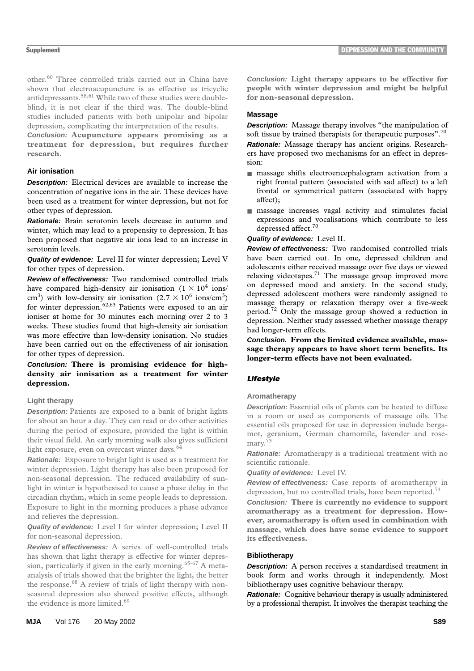other.60 Three controlled trials carried out in China have shown that electroacupuncture is as effective as tricyclic antidepressants.58,61 While two of these studies were doubleblind, it is not clear if the third was. The double-blind studies included patients with both unipolar and bipolar depression, complicating the interpretation of the results.

**Conclusion: Acupuncture appears promising as a treatment for depression, but requires further research.**

## **Air ionisation**

**Description:** Electrical devices are available to increase the concentration of negative ions in the air. These devices have been used as a treatment for winter depression, but not for other types of depression.

**Rationale:** Brain serotonin levels decrease in autumn and winter, which may lead to a propensity to depression. It has been proposed that negative air ions lead to an increase in serotonin levels.

**Quality of evidence:** Level II for winter depression; Level V for other types of depression.

**Review of effectiveness:** Two randomised controlled trials have compared high-density air ionisation  $(1 \times 10^4$  ions/ cm<sup>3</sup>) with low-density air ionisation  $(2.7 \times 10^6 \text{ ions/cm}^3)$ for winter depression.<sup>62,63</sup> Patients were exposed to an air ioniser at home for 30 minutes each morning over 2 to 3 weeks. These studies found that high-density air ionisation was more effective than low-density ionisation. No studies have been carried out on the effectiveness of air ionisation for other types of depression.

## **Conclusion: There is promising evidence for highdensity air ionisation as a treatment for winter depression.**

## **Light therapy**

**Description:** Patients are exposed to a bank of bright lights for about an hour a day. They can read or do other activities during the period of exposure, provided the light is within their visual field. An early morning walk also gives sufficient light exposure, even on overcast winter days.<sup>64</sup>

**Rationale:** Exposure to bright light is used as a treatment for winter depression. Light therapy has also been proposed for non-seasonal depression. The reduced availability of sunlight in winter is hypothesised to cause a phase delay in the circadian rhythm, which in some people leads to depression. Exposure to light in the morning produces a phase advance and relieves the depression.

**Quality of evidence:** Level I for winter depression; Level II for non-seasonal depression.

**Review of effectiveness:** A series of well-controlled trials has shown that light therapy is effective for winter depression, particularly if given in the early morning.<sup>65-67</sup> A metaanalysis of trials showed that the brighter the light, the better the response.<sup>68</sup> A review of trials of light therapy with nonseasonal depression also showed positive effects, although the evidence is more limited.<sup>69</sup>

**Conclusion: Light therapy appears to be effective for people with winter depression and might be helpful for non-seasonal depression.**

## **Massage**

**Description:** Massage therapy involves "the manipulation of soft tissue by trained therapists for therapeutic purposes".<sup>70</sup> **Rationale:** Massage therapy has ancient origins. Researchers have proposed two mechanisms for an effect in depression:

- massage shifts electroencephalogram activation from a right frontal pattern (associated with sad affect) to a left frontal or symmetrical pattern (associated with happy affect);
- massage increases vagal activity and stimulates facial expressions and vocalisations which contribute to less depressed affect.<sup>70</sup>

## **Quality of evidence:** Level II.

**Review of effectiveness:** Two randomised controlled trials have been carried out. In one, depressed children and adolescents either received massage over five days or viewed relaxing videotapes.71 The massage group improved more on depressed mood and anxiety. In the second study, depressed adolescent mothers were randomly assigned to massage therapy or relaxation therapy over a five-week period.72 Only the massage group showed a reduction in depression. Neither study assessed whether massage therapy had longer-term effects.

**Conclusion. From the limited evidence available, massage therapy appears to have short term benefits. Its longer-term effects have not been evaluated.**

## *Lifestyle*

## **Aromatherapy**

**Description:** Essential oils of plants can be heated to diffuse in a room or used as components of massage oils. The essential oils proposed for use in depression include bergamot, geranium, German chamomile, lavender and rosemary.<sup>7</sup>

**Rationale:** Aromatherapy is a traditional treatment with no scientific rationale.

**Quality of evidence:** Level IV.

**Review of effectiveness:** Case reports of aromatherapy in depression, but no controlled trials, have been reported.<sup>74</sup>

**Conclusion: There is currently no evidence to support aromatherapy as a treatment for depression. However, aromatherapy is often used in combination with massage, which does have some evidence to support its effectiveness.**

## **Bibliotherapy**

**Description:** A person receives a standardised treatment in book form and works through it independently. Most bibliotherapy uses cognitive behaviour therapy.

**Rationale:** Cognitive behaviour therapy is usually administered by a professional therapist. It involves the therapist teaching the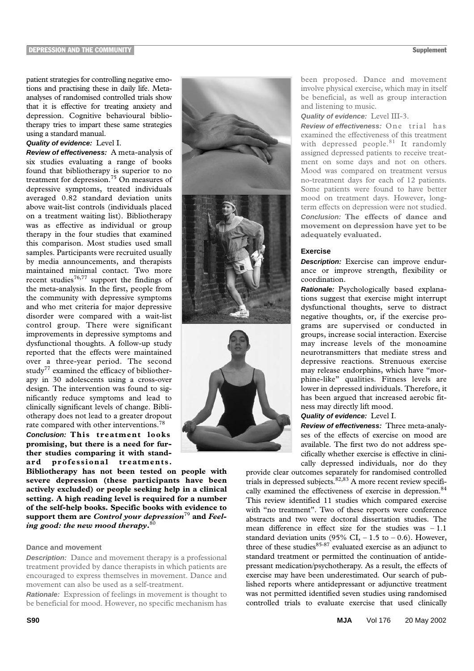patient strategies for controlling negative emotions and practising these in daily life. Metaanalyses of randomised controlled trials show that it is effective for treating anxiety and depression. Cognitive behavioural bibliotherapy tries to impart these same strategies using a standard manual.

## **Quality of evidence:** Level I.

**Review of effectiveness:** A meta-analysis of six studies evaluating a range of books found that bibliotherapy is superior to no treatment for depression.75 On measures of depressive symptoms, treated individuals averaged 0.82 standard deviation units above wait-list controls (individuals placed on a treatment waiting list). Bibliotherapy was as effective as individual or group therapy in the four studies that examined this comparison. Most studies used small samples. Participants were recruited usually by media announcements, and therapists maintained minimal contact. Two more recent studies<sup>76,77</sup> support the findings of the meta-analysis. In the first, people from the community with depressive symptoms and who met criteria for major depressive disorder were compared with a wait-list control group. There were significant improvements in depressive symptoms and dysfunctional thoughts. A follow-up study reported that the effects were maintained over a three-year period. The second study<sup>77</sup> examined the efficacy of bibliotherapy in 30 adolescents using a cross-over design. The intervention was found to significantly reduce symptoms and lead to clinically significant levels of change. Bibliotherapy does not lead to a greater dropout rate compared with other interventions.<sup>78</sup>

**Conclusion: This treatment looks promising, but there is a need for further studies comparing it with standard professional treatments.**

**Bibliotherapy has not been tested on people with severe depression (these participants have been actively excluded) or people seeking help in a clinical setting. A high reading level is required for a number of the self-help books. Specific books with evidence to support them are** *Control your depression*79 **and** *Feeling good: the new mood therapy***.** 80

### **Dance and movement**

**Description:** Dance and movement therapy is a professional treatment provided by dance therapists in which patients are encouraged to express themselves in movement. Dance and movement can also be used as a self-treatment.

**Rationale:** Expression of feelings in movement is thought to be beneficial for mood. However, no specific mechanism has



been proposed. Dance and movement involve physical exercise, which may in itself be beneficial, as well as group interaction and listening to music.

**Quality of evidence:** Level III-3.

**Review of effectiveness:** One trial has examined the effectiveness of this treatment with depressed people. $81$  It randomly assigned depressed patients to receive treatment on some days and not on others. Mood was compared on treatment versus no-treatment days for each of 12 patients. Some patients were found to have better mood on treatment days. However, longterm effects on depression were not studied. **Conclusion: The effects of dance and movement on depression have yet to be adequately evaluated.**

#### **Exercise**

**Description:** Exercise can improve endurance or improve strength, flexibility or coordination.

**Rationale:** Psychologically based explanations suggest that exercise might interrupt dysfunctional thoughts, serve to distract negative thoughts, or, if the exercise programs are supervised or conducted in groups, increase social interaction. Exercise may increase levels of the monoamine neurotransmitters that mediate stress and depressive reactions. Strenuous exercise may release endorphins, which have "morphine-like" qualities. Fitness levels are lower in depressed individuals. Therefore, it has been argued that increased aerobic fitness may directly lift mood.

## **Quality of evidence:** Level I.

**Review of effectiveness:** Three meta-analyses of the effects of exercise on mood are available. The first two do not address specifically whether exercise is effective in clinically depressed individuals, nor do they

provide clear outcomes separately for randomised controlled trials in depressed subjects.<sup>82,83</sup> A more recent review specifically examined the effectiveness of exercise in depression.<sup>84</sup> This review identified 11 studies which compared exercise with "no treatment". Two of these reports were conference abstracts and two were doctoral dissertation studies. The mean difference in effect size for the studies was  $-1.1$ standard deviation units (95% CI,  $-1.5$  to  $-0.6$ ). However, three of these studies $85-87$  evaluated exercise as an adjunct to standard treatment or permitted the continuation of antidepressant medication/psychotherapy. As a result, the effects of exercise may have been underestimated. Our search of published reports where antidepressant or adjunctive treatment was not permitted identified seven studies using randomised controlled trials to evaluate exercise that used clinically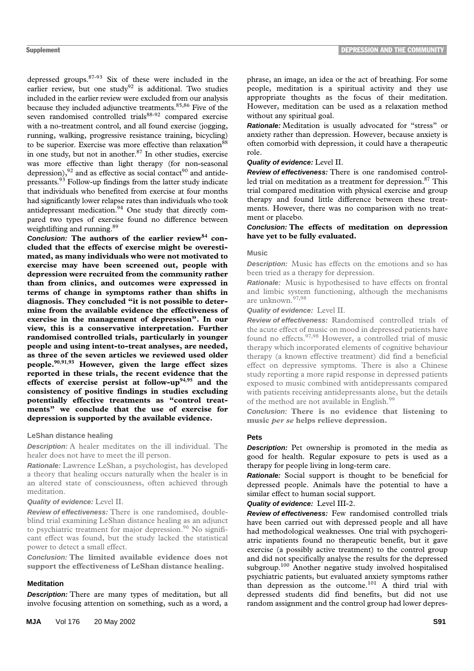depressed groups.87-93 Six of these were included in the earlier review, but one study $92$  is additional. Two studies included in the earlier review were excluded from our analysis because they included adjunctive treatments.<sup>85,86</sup> Five of the seven randomised controlled trials<sup>88-92</sup> compared exercise with a no-treatment control, and all found exercise (jogging, running, walking, progressive resistance training, bicycling) to be superior. Exercise was more effective than relaxation<sup>88</sup> in one study, but not in another. $87$  In other studies, exercise was more effective than light therapy (for non-seasonal depression), $92$  and as effective as social contact<sup>90</sup> and antidepressants.93 Follow-up findings from the latter study indicate that individuals who benefited from exercise at four months had significantly lower relapse rates than individuals who took antidepressant medication.<sup>94</sup> One study that directly compared two types of exercise found no difference between weightlifting and running.<sup>89</sup>

**Conclusion: The authors of the earlier review84 concluded that the effects of exercise might be overestimated, as many individuals who were not motivated to exercise may have been screened out, people with depression were recruited from the community rather than from clinics, and outcomes were expressed in terms of change in symptoms rather than shifts in diagnosis. They concluded "it is not possible to determine from the available evidence the effectiveness of exercise in the management of depression". In our view, this is a conservative interpretation. Further randomised controlled trials, particularly in younger people and using intent-to-treat analyses, are needed, as three of the seven articles we reviewed used older people.90**,**91**,**93 However, given the large effect sizes reported in these trials, the recent evidence that the effects of exercise persist at follow-up94**,**95 and the consistency of positive findings in studies excluding potentially effective treatments as "control treatments" we conclude that the use of exercise for depression is supported by the available evidence.**

#### **LeShan distance healing**

**Description:** A healer meditates on the ill individual. The healer does not have to meet the ill person.

**Rationale:** Lawrence LeShan, a psychologist, has developed a theory that healing occurs naturally when the healer is in an altered state of consciousness, often achieved through meditation.

## **Quality of evidence:** Level II.

**Review of effectiveness:** There is one randomised, doubleblind trial examining LeShan distance healing as an adjunct to psychiatric treatment for major depression.<sup>96</sup> No significant effect was found, but the study lacked the statistical power to detect a small effect.

**Conclusion: The limited available evidence does not support the effectiveness of LeShan distance healing.**

#### **Meditation**

**Description:** There are many types of meditation, but all involve focusing attention on something, such as a word, a phrase, an image, an idea or the act of breathing. For some people, meditation is a spiritual activity and they use appropriate thoughts as the focus of their meditation. However, meditation can be used as a relaxation method without any spiritual goal.

**Rationale:** Meditation is usually advocated for "stress" or anxiety rather than depression. However, because anxiety is often comorbid with depression, it could have a therapeutic role.

### **Quality of evidence:** Level II.

**Review of effectiveness:** There is one randomised controlled trial on meditation as a treatment for depression. $87$  This trial compared meditation with physical exercise and group therapy and found little difference between these treatments. However, there was no comparison with no treatment or placebo.

## **Conclusion: The effects of meditation on depression have yet to be fully evaluated.**

## **Music**

**Description:** Music has effects on the emotions and so has been tried as a therapy for depression.

**Rationale:** Music is hypothesised to have effects on frontal and limbic system functioning, although the mechanisms are unknown.<sup>97,98</sup>

**Quality of evidence:** Level II.

**Review of effectiveness:** Randomised controlled trials of the acute effect of music on mood in depressed patients have found no effects.<sup>97,98</sup> However, a controlled trial of music therapy which incorporated elements of cognitive behaviour therapy (a known effective treatment) did find a beneficial effect on depressive symptoms. There is also a Chinese study reporting a more rapid response in depressed patients exposed to music combined with antidepressants compared with patients receiving antidepressants alone, but the details of the method are not available in English.<sup>99</sup>

**Conclusion: There is no evidence that listening to music** *per se* **helps relieve depression.**

## **Pets**

**Description:** Pet ownership is promoted in the media as good for health. Regular exposure to pets is used as a therapy for people living in long-term care.

**Rationale:** Social support is thought to be beneficial for depressed people. Animals have the potential to have a similar effect to human social support.

### **Quality of evidence:** Level III-2.

**Review of effectiveness:** Few randomised controlled trials have been carried out with depressed people and all have had methodological weaknesses. One trial with psychogeriatric inpatients found no therapeutic benefit, but it gave exercise (a possibly active treatment) to the control group and did not specifically analyse the results for the depressed subgroup.<sup>100</sup> Another negative study involved hospitalised psychiatric patients, but evaluated anxiety symptoms rather than depression as the outcome.101 A third trial with depressed students did find benefits, but did not use random assignment and the control group had lower depres-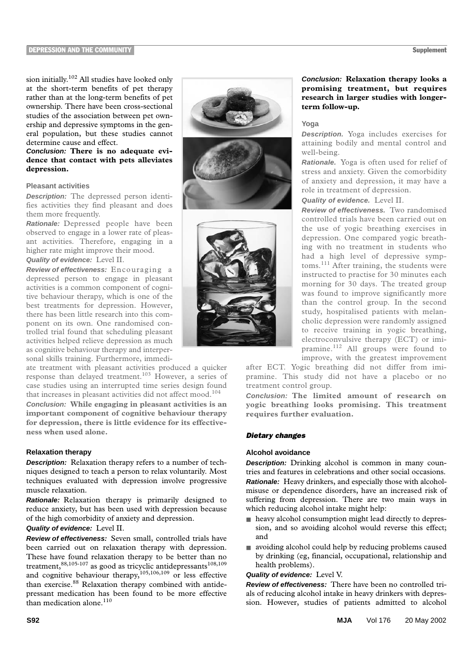sion initially.102 All studies have looked only at the short-term benefits of pet therapy rather than at the long-term benefits of pet ownership. There have been cross-sectional studies of the association between pet ownership and depressive symptoms in the general population, but these studies cannot determine cause and effect.

## **Conclusion: There is no adequate evidence that contact with pets alleviates depression.**

#### **Pleasant activities**

**Description:** The depressed person identifies activities they find pleasant and does them more frequently.

**Rationale:** Depressed people have been observed to engage in a lower rate of pleasant activities. Therefore, engaging in a higher rate might improve their mood. **Quality of evidence:** Level II.

## **Review of effectiveness:** Encouraging a depressed person to engage in pleasant activities is a common component of cognitive behaviour therapy, which is one of the best treatments for depression. However, there has been little research into this component on its own. One randomised controlled trial found that scheduling pleasant activities helped relieve depression as much as cognitive behaviour therapy and interpersonal skills training. Furthermore, immedi-

ate treatment with pleasant activities produced a quicker response than delayed treatment.<sup>103</sup> However, a series of case studies using an interrupted time series design found that increases in pleasant activities did not affect mood.<sup>104</sup>

**Conclusion: While engaging in pleasant activities is an important component of cognitive behaviour therapy for depression, there is little evidence for its effectiveness when used alone.**

## **Relaxation therapy**

**Description:** Relaxation therapy refers to a number of techniques designed to teach a person to relax voluntarily. Most techniques evaluated with depression involve progressive muscle relaxation.

**Rationale:** Relaxation therapy is primarily designed to reduce anxiety, but has been used with depression because of the high comorbidity of anxiety and depression.

## **Quality of evidence:** Level II.

**Review of effectiveness:** Seven small, controlled trials have been carried out on relaxation therapy with depression. These have found relaxation therapy to be better than no treatment,  $88,105-107$  as good as tricyclic antidepressants<sup>108,109</sup> and cognitive behaviour therapy,105,106,109 or less effective than exercise.<sup>88</sup> Relaxation therapy combined with antidepressant medication has been found to be more effective than medication alone.<sup>110</sup>





## **Conclusion: Relaxation therapy looks a promising treatment, but requires research in larger studies with longerterm follow-up.**

### **Yoga**

**Description.** Yoga includes exercises for attaining bodily and mental control and well-being.

**Rationale.** Yoga is often used for relief of stress and anxiety. Given the comorbidity of anxiety and depression, it may have a role in treatment of depression.

**Quality of evidence.** Level II.

**Review of effectiveness.** Two randomised controlled trials have been carried out on the use of yogic breathing exercises in depression. One compared yogic breathing with no treatment in students who had a high level of depressive symptoms.<sup>111</sup> After training, the students were instructed to practise for 30 minutes each morning for 30 days. The treated group was found to improve significantly more than the control group. In the second study, hospitalised patients with melancholic depression were randomly assigned to receive training in yogic breathing, electroconvulsive therapy (ECT) or imipramine.112 All groups were found to improve, with the greatest improvement

after ECT. Yogic breathing did not differ from imipramine. This study did not have a placebo or no treatment control group.

**Conclusion: The limited amount of research on yogic breathing looks promising. This treatment requires further evaluation.**

## *Dietary changes*

## **Alcohol avoidance**

**Description:** Drinking alcohol is common in many countries and features in celebrations and other social occasions. **Rationale:** Heavy drinkers, and especially those with alcoholmisuse or dependence disorders, have an increased risk of suffering from depression. There are two main ways in which reducing alcohol intake might help:

- heavy alcohol consumption might lead directly to depression, and so avoiding alcohol would reverse this effect; and
- avoiding alcohol could help by reducing problems caused by drinking (eg, financial, occupational, relationship and health problems).

## **Quality of evidence:** Level V.

**Review of effectiveness:** There have been no controlled trials of reducing alcohol intake in heavy drinkers with depression. However, studies of patients admitted to alcohol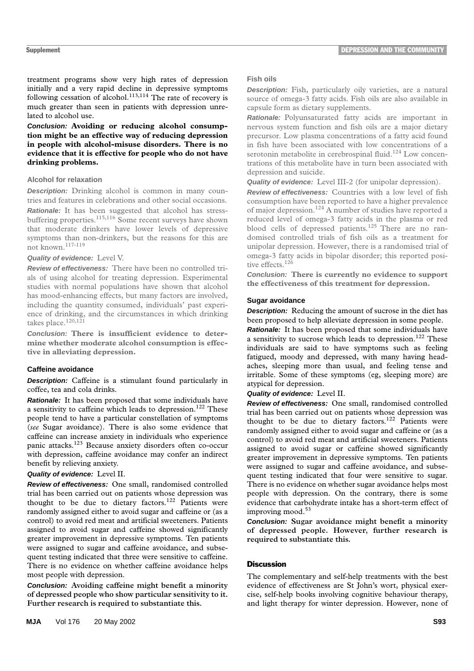treatment programs show very high rates of depression initially and a very rapid decline in depressive symptoms following cessation of alcohol.<sup>113,114</sup> The rate of recovery is much greater than seen in patients with depression unrelated to alcohol use.

**Conclusion: Avoiding or reducing alcohol consumption might be an effective way of reducing depression in people with alcohol-misuse disorders. There is no evidence that it is effective for people who do not have drinking problems.**

## **Alcohol for relaxation**

**Description:** Drinking alcohol is common in many countries and features in celebrations and other social occasions.

**Rationale:** It has been suggested that alcohol has stressbuffering properties.<sup>115,116</sup> Some recent surveys have shown that moderate drinkers have lower levels of depressive symptoms than non-drinkers, but the reasons for this are not known.117-119

## **Quality of evidence:** Level V.

**Review of effectiveness:** There have been no controlled trials of using alcohol for treating depression. Experimental studies with normal populations have shown that alcohol has mood-enhancing effects, but many factors are involved, including the quantity consumed, individuals' past experience of drinking, and the circumstances in which drinking takes place.<sup>120,12</sup>

**Conclusion: There is insufficient evidence to determine whether moderate alcohol consumption is effective in alleviating depression.**

## **Caffeine avoidance**

**Description:** Caffeine is a stimulant found particularly in coffee, tea and cola drinks.

**Rationale:** It has been proposed that some individuals have a sensitivity to caffeine which leads to depression.<sup>122</sup> These people tend to have a particular constellation of symptoms (*see* Sugar avoidance). There is also some evidence that caffeine can increase anxiety in individuals who experience panic attacks.123 Because anxiety disorders often co-occur with depression, caffeine avoidance may confer an indirect benefit by relieving anxiety.

## **Quality of evidence:** Level II.

**Review of effectiveness:** One small, randomised controlled trial has been carried out on patients whose depression was thought to be due to dietary factors.<sup>122</sup> Patients were randomly assigned either to avoid sugar and caffeine or (as a control) to avoid red meat and artificial sweeteners. Patients assigned to avoid sugar and caffeine showed significantly greater improvement in depressive symptoms. Ten patients were assigned to sugar and caffeine avoidance, and subsequent testing indicated that three were sensitive to caffeine. There is no evidence on whether caffeine avoidance helps most people with depression.

**Conclusion: Avoiding caffeine might benefit a minority of depressed people who show particular sensitivity to it. Further research is required to substantiate this.**

#### **Fish oils**

**Description:** Fish, particularly oily varieties, are a natural source of omega-3 fatty acids. Fish oils are also available in capsule form as dietary supplements.

**Rationale:** Polyunsaturated fatty acids are important in nervous system function and fish oils are a major dietary precursor. Low plasma concentrations of a fatty acid found in fish have been associated with low concentrations of a serotonin metabolite in cerebrospinal fluid.<sup>124</sup> Low concentrations of this metabolite have in turn been associated with depression and suicide.

**Quality of evidence:** Level III-2 (for unipolar depression).

**Review of effectiveness:** Countries with a low level of fish consumption have been reported to have a higher prevalence of major depression.124 A number of studies have reported a reduced level of omega-3 fatty acids in the plasma or red blood cells of depressed patients.<sup>125</sup> There are no randomised controlled trials of fish oils as a treatment for unipolar depression. However, there is a randomised trial of omega-3 fatty acids in bipolar disorder; this reported positive effects.<sup>126</sup>

**Conclusion: There is currently no evidence to support the effectiveness of this treatment for depression.**

## **Sugar avoidance**

**Description:** Reducing the amount of sucrose in the diet has been proposed to help alleviate depression in some people.

**Rationale:** It has been proposed that some individuals have a sensitivity to sucrose which leads to depression.<sup>122</sup> These individuals are said to have symptoms such as feeling fatigued, moody and depressed, with many having headaches, sleeping more than usual, and feeling tense and irritable. Some of these symptoms (eg, sleeping more) are atypical for depression.

## **Quality of evidence:** Level II.

**Review of effectiveness:** One small, randomised controlled trial has been carried out on patients whose depression was thought to be due to dietary factors.<sup>122</sup> Patients were randomly assigned either to avoid sugar and caffeine or (as a control) to avoid red meat and artificial sweeteners. Patients assigned to avoid sugar or caffeine showed significantly greater improvement in depressive symptoms. Ten patients were assigned to sugar and caffeine avoidance, and subsequent testing indicated that four were sensitive to sugar. There is no evidence on whether sugar avoidance helps most people with depression. On the contrary, there is some evidence that carbohydrate intake has a short-term effect of improving mood.<sup>53</sup>

**Conclusion: Sugar avoidance might benefit a minority of depressed people. However, further research is required to substantiate this.**

## **Discussion**

The complementary and self-help treatments with the best evidence of effectiveness are St John's wort, physical exercise, self-help books involving cognitive behaviour therapy, and light therapy for winter depression. However, none of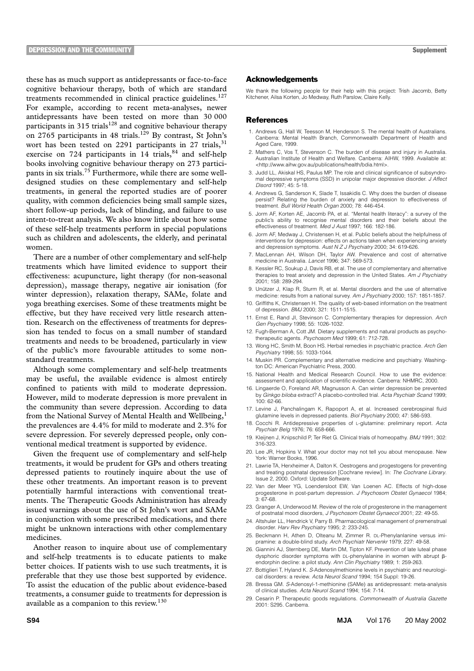these has as much support as antidepressants or face-to-face cognitive behaviour therapy, both of which are standard treatments recommended in clinical practice guidelines.<sup>127</sup> For example, according to recent meta-analyses, newer antidepressants have been tested on more than 30 000 participants in 315 trials<sup>128</sup> and cognitive behaviour therapy on 2765 participants in 48 trials.<sup>129</sup> By contrast, St John's wort has been tested on 2291 participants in 27 trials, $31$ exercise on 724 participants in 14 trials, $84$  and self-help books involving cognitive behaviour therapy on 273 participants in six trials.<sup>75</sup> Furthermore, while there are some welldesigned studies on these complementary and self-help treatments, in general the reported studies are of poorer quality, with common deficiencies being small sample sizes, short follow-up periods, lack of blinding, and failure to use intent-to-treat analysis. We also know little about how some of these self-help treatments perform in special populations such as children and adolescents, the elderly, and perinatal women.

There are a number of other complementary and self-help treatments which have limited evidence to support their effectiveness: acupuncture, light therapy (for non-seasonal depression), massage therapy, negative air ionisation (for winter depression), relaxation therapy, SAMe, folate and yoga breathing exercises. Some of these treatments might be effective, but they have received very little research attention. Research on the effectiveness of treatments for depression has tended to focus on a small number of standard treatments and needs to be broadened, particularly in view of the public's more favourable attitudes to some nonstandard treatments.

Although some complementary and self-help treatments may be useful, the available evidence is almost entirely confined to patients with mild to moderate depression. However, mild to moderate depression is more prevalent in the community than severe depression. According to data from the National Survey of Mental Health and Wellbeing,<sup>1</sup> the prevalences are 4.4% for mild to moderate and 2.3% for severe depression. For severely depressed people, only conventional medical treatment is supported by evidence.

Given the frequent use of complementary and self-help treatments, it would be prudent for GPs and others treating depressed patients to routinely inquire about the use of these other treatments. An important reason is to prevent potentially harmful interactions with conventional treatments. The Therapeutic Goods Administration has already issued warnings about the use of St John's wort and SAMe in conjunction with some prescribed medications, and there might be unknown interactions with other complementary medicines.

Another reason to inquire about use of complementary and self-help treatments is to educate patients to make better choices. If patients wish to use such treatments, it is preferable that they use those best supported by evidence. To assist the education of the public about evidence-based treatments, a consumer guide to treatments for depression is available as a companion to this review.<sup>130</sup>

#### Acknowledgements

We thank the following people for their help with this project: Trish Jacomb, Betty Kitchener, Ailsa Korten, Jo Medway, Ruth Parslow, Claire Kelly.

#### **References**

- 1. Andrews G, Hall W, Teesson M, Henderson S. The mental health of Australians. Canberra: Mental Health Branch, Commonwealth Department of Health and Aged Care, 1999.
- 2. Mathers C, Vos T, Stevenson C. The burden of disease and injury in Australia. Australian Institute of Health and Welfare. Canberra: AIHW, 1999. Available at: <http://www.aihw.gov.au/publications/health/bdia.html>.
- 3. Judd LL, Akiskal HS, Paulus MP. The role and clinical significance of subsyndromal depressive symptoms (SSD) in unipolar major depressive disorder. *J Affect Disord* 1997; 45: 5-18.
- 4. Andrews G, Sanderson K, Slade T, Issakidis C. Why does the burden of disease persist? Relating the burden of anxiety and depression to effectiveness of treatment. *Bull World Health Organ* 2000; 78: 446-454.
- 5. Jorm AF, Korten AE, Jacomb PA, et al. "Mental health literacy": a survey of the public's ability to recognise mental disorders and their beliefs about the effectiveness of treatment. *Med J Aust* 1997; 166: 182-186.
- 6. Jorm AF, Medway J, Christensen H, et al. Public beliefs about the helpfulness of interventions for depression: effects on actions taken when experiencing anxiety and depression symptoms. *Aust N Z J Psychiatry* 2000; 34: 619-626.
- 7. MacLennan AH, Wilson DH, Taylor AW. Prevalence and cost of alternative medicine in Australia. *Lancet* 1996; 347: 569-573.
- 8. Kessler RC, Soukup J, Davis RB, et al. The use of complementary and alternative therapies to treat anxiety and depression in the United States. *Am J Psychiatry* 2001; 158: 289-294.
- 9. Unützer J, Klap R, Sturm R, et al. Mental disorders and the use of alternative medicine: results from a national survey. *Am J Psychiatry* 2000; 157: 1851-1857.
- 10. Griffiths K, Christensen H. The quality of web-based information on the treatment of depression. *BMJ* 2000; 321: 1511-1515.
- 11. Ernst E, Rand JI, Stevinson C. Complementary therapies for depression. *Arch Gen Psychiatry* 1998; 55: 1026-1032.
- 12. Fugh-Berman A, Cott JM. Dietary supplements and natural products as psychotherapeutic agents. *Psychosom Med* 1999; 61: 712-728.
- 13. Wong HC, Smith M, Boon HS. Herbal remedies in psychiatric practice. *Arch Gen Psychiatry* 1998; 55: 1033-1044.
- 14. Muskin PR. Complementary and alternative medicine and psychiatry. Washington DC: American Psychiatric Press, 2000.
- 15. National Health and Medical Research Council. How to use the evidence: assessment and application of scientific evidence. Canberra: NHMRC, 2000.
- 16. Lingaerde O, Foreland AR, Magnusson A. Can winter depression be prevented by *Ginkgo biloba* extract? A placebo-controlled trial. *Acta Psychiatr Scand* 1999; 100: 62-66.
- 17. Levine J, Panchalingam K, Rapoport A, et al. Increased cerebrospinal fluid glutamine levels in depressed patients. *Biol Psychiatry* 2000; 47: 586-593.
- 18. Cocchi R. Antidepressive properties of L-glutamine: preliminary report. *Acta Psychiatr Belg* 1976; 76: 658-666.
- 19. Kleijnen J, Knipschild P, Ter Riet G. Clinical trials of homeopathy. *BMJ* 1991; 302: 316-323.
- 20. Lee JR, Hopkins V. What your doctor may not tell you about menopause. New York: Warner Books, 1996.
- 21. Lawrie TA, Herxheimer A, Dalton K. Oestrogens and progestogens for preventing and treating postnatal depression [Cochrane review]. In: *The Cochrane Library*. Issue 2, 2000. Oxford: Update Software.
- 22. Van der Meer YG, Loendersloot EW, Van Loenen AC. Effects of high-dose progesterone in post-partum depression. *J Psychosom Obstet Gynaecol* 1984; 3: 67-68.
- 23. Granger A, Underwood M. Review of the role of progesterone in the management of postnatal mood disorders, *J Psychosom Obstet Gynaecol* 2001; 22: 49-55.
- 24. Altshuler LL, Hendrick V, Parry B. Pharmacological management of premenstrual disorder. *Harv Rev Psychiatry* 1995; 2: 233-245.
- 25. Beckmann H, Athen D, Olteanu M, Zimmer R. DL-Phenylanlanine versus imipramine: a double-blind study. *Arch Psychiatr Nervenkr* 1979; 227: 49-58.
- 26. Giannini AJ, Sternberg DE, Martin DM, Tipton KF. Prevention of late luteal phase dysphoric disorder symptoms with DL-phenylalanine in women with abrupt  $\beta$ endorphin decline: a pilot study. *Ann Clin Psychiatry* 1989; 1: 259-263.
- 27. Bottiglieri T, Hyland K. *S*-Adenosylmethionine levels in psychiatric and neurological disorders: a review. *Acta Neurol Scand* 1994; 154 Suppl: 19-26.
- 28. Bressa GM. *S*-Adenosyl-1-methionine (SAMe) as antidepressant: meta-analysis of clinical studies. *Acta Neurol Scand* 1994; 154: 7-14.
- 29. Cesarin P. Therapeutic goods regulations. *Commonwealth of Australia Gazette* 2001: S295. Canberra.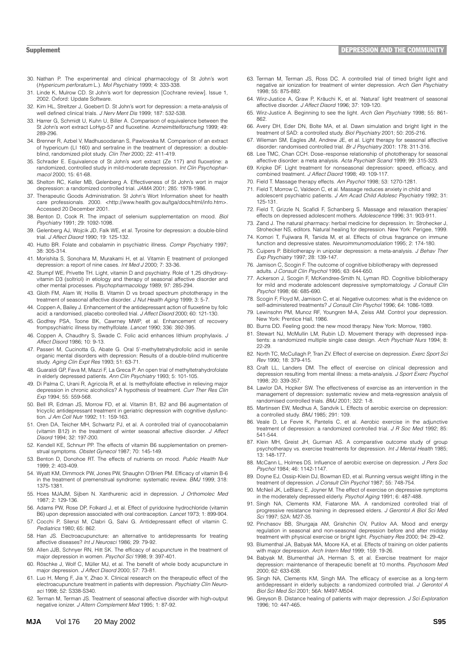- 30. Nathan P. The experimental and clinical pharmacology of St John's wort (*Hypericum perforatum* L.). *Mol Psychiatry* 1999; 4: 333-338.
- 31. Linde K, Mulrow CD. St John's wort for depression [Cochrane review]. Issue 1, 2002. Oxford: Update Software.
- 32. Kim HL, Streltzer J, Goebert D. St John's wort for depression: a meta-analysis of well defined clinical trials. *J Nerv Ment Dis* 1999; 187: 532-538.
- 33. Harrer G, Schmidt U, Kuhn U, Biller A. Comparison of equivalence between the St John's wort extract LoHyp-57 and fluoxetine. *Arzneimittelforschung* 1999; 49: 289-296.
- 34. Brenner R, Azbel V, Madhusoodanan S, Pawlowska M. Comparison of an extract of hypericum (LI 160) and sertraline in the treatment of depression: a doubleblind, randomized pilot study. *Clin Ther* 2000; 22: 411-419.
- 35. Schrader E. Equivalence of St John's wort extract (Ze 117) and fluoxetine: a randomized, controlled study in mild-moderate depression. *Int Clin Psychopharmacol* 2000; 15: 61-68.
- 36. Shelton RC, Keller MB, Gelenberg A. Effectiveness of St John's wort in major depression: a randomized controlled trial. *JAMA* 2001; 285: 1978-1986.
- 37. Therapeutic Goods Administration. St John's Wort Information sheet for health care professionals. 2000. <http://www.health.gov.au/tga/docs/html/info.htm>. Accessed 20 December 2001.
- 38. Benton D, Cook R. The impact of selenium supplementation on mood. *Biol Psychiatry* 1991; 29: 1092-1098.
- 39. Gelenberg AJ, Wojcik JD, Falk WE, et al. Tyrosine for depression: a double-blind trial. *J Affect Disord* 1990; 19: 125-132.
- 40. Hutto BR. Folate and cobalamin in psychiatric illness. *Compr Psychiatry* 1997; 38: 305-314.
- 41. Morishita S, Sonohara M, Murakami H, et al. Vitamin E treatment of prolonged depression: a report of nine cases. *Int Med J* 2000; 7: 33-36.
- 42. Stumpf WE, Privette TH. Light, vitamin D and psychiatry. Role of 1,25 dihydroxyvitamin D3 (soltriol) in etiology and therapy of seasonal affective disorder and other mental processes. *Psychopharmacology* 1989; 97: 285-294.
- 43. Gloth FM, Alam W, Hollis B. Vitamin D vs broad spectrum phototherapy in the treatment of seasonal affective disorder. *J Nut Health Aging* 1999; 3: 5-7.
- 44. Coppen A, Bailey J. Enhancement of the antidepressant action of fluoxetine by folic acid: a randomised, placebo controlled trial. *J Affect Disord* 2000; 60: 121-130.
- 45. Godfrey PSA, Toone BK, Cawrney MWP, et al. Enhancement of recovery frompsychiatric illness by methylfolate. *Lancet* 1990; 336: 392-395.
- 46. Coppen A, Chaudhry S, Swade C. Folic acid enhances lithium prophylaxis. *J Affect Disord* 1986; 10: 9-13.
- 47. Passeri M, Cucinotta G, Abate G. Oral 5'-methyltetrahydrofolic acid in senile organic mental disorders with depression: Results of a double-blind multicentre study. *Aging Clin Expt Res* 1993; 51: 63-71.
- 48. Guaraldi GP, Fava M, Mazzi F, La Greca P. An open trial of methyltetrahydrofolate in elderly depressed patients. *Ann Clin Psychiatry* 1993; 5: 101-105.
- 49. Di Palma C, Urani R, Agricola R, et al. Is methylfolate effective in relieving major depression in chronic alcoholics? A hypothesis of treatment. *Curr Ther Res Clin Exp* 1994; 55: 559-568.
- 50. Bell IR, Edman JS, Morrow FD, et al. Vitamin B1, B2 and B6 augmentation of tricyclic antidepressant treatment in geriatric depression with cognitive dysfunction. *J Am Coll Nutr* 1992; 11: 159-163.
- 51. Oren DA, Teicher MH, Schwartz PJ, et al. A controlled trial of cyanocobalamin (vitamin B12) in the treatment of winter seasonal affective disorder. *J Affect Disord* 1994; 32: 197-200.
- 52. Kendell KE, Schnurr PP. The effects of vitamin B6 supplementation on premenstrual symptoms. *Obstet Gynecol* 1987; 70: 145-149.
- 53. Benton D, Donohoe RT. The effects of nutrients on mood. *Public Health Nutr* 1999; 2: 403-409.
- 54. Wyatt KM, Dimmock PW, Jones PW, Shaughn O'Brien PM. Efficacy of vitamin B-6 in the treatment of premenstrual syndrome: systematic review. *BMJ* 1999; 318: 1375-1381.
- 55. Hoes MJAJM, Sijben N. Xanthurenic acid in depression. *J Orthomolec Med* 1987; 2: 129-136.
- 56. Adams PW, Rose DP, Folkard J, et al. Effect of pyridoxine hydrochloride (vitamin B6) upon depression associated with oral contraception. *Lancet* 1973; 1: 899-904.
- 57. Cocchi P, Silenzi M, Clabri G, Salvi G. Antidepressant effect of vitamin C. *Pediatrics* 1980; 65: 862.
- 58. Han JS. Electroacupuncture: an alternative to antidepressants for treating affective diseases? *Int J Neurosci* 1986; 29: 79-92.
- 59. Allen JJB, Schnyer RN, Hitt SK. The efficacy of acupuncture in the treatment of major depression in women. *Psychol Sci* 1998; 9: 397-401.
- 60. Röschke J, Wolf C, Müller MJ, et al. The benefit of whole body acupuncture in major depression. *J Affect Disord* 2000; 57: 73-81.
- 61. Luo H, Meng F, Jia Y, Zhao X. Clinical research on the therapeutic effect of the electroacupuncture treatment in patients with depression. *Psychiatry Clin Neurosci* 1998; 52: S338-S340.
- 62. Terman M, Terman JS. Treatment of seasonal affective disorder with high-output negative ionizer. *J Altern Complement Med* 1995; 1: 87-92.
- 63. Terman M, Terman JS, Ross DC. A controlled trial of timed bright light and negative air ionization for treatment of winter depression. *Arch Gen Psychiatry* 1998; 55: 875-882.
- 64. Wirz-Justice A, Graw P, Kräuchi K, et al. 'Natural' light treatment of seasonal affective disorder. *J Affect Disord* 1996; 37: 109-120.
- 65. Wirz-Justice A. Beginning to see the light. *Arch Gen Psychiatry* 1998; 55: 861- 862.
- 66. Avery DH, Eder DN, Bolte MA, et al. Dawn simulation and bright light in the treatment of SAD: a controlled study. *Biol Psychiatry* 2001; 50: 205-216.
- 67. Wileman SM, Eagles JM, Andrew JE, et al. Light therapy for seasonal affective disorder: randomised controlled trial. *Br J Psychiatry* 2001: 178: 311-316.
- 68. Lee TMC, Chan CCH. Dose–response relationship of phototherapy for seasonal affective disorder: a meta analysis. *Acta Psychiatr Scand* 1999; 99: 315-323.
- 69. Kripke DF. Light treatment for nonseasonal depression: speed, efficacy, and combined treatment. *J Affect Disord* 1998; 49: 109-117.
- 70. Field T. Massage therapy effects. *Am Psychol* 1998; 53: 1270-1281.
- 71. Field T, Morrow C, Valdeon C, et al. Massage reduces anxiety in child and adolescent psychiatric patients. *J Am Acad Child Adolesc Psychiatry* 1992; 31: 125-131.
- 72. Field T, Grizzle N, Scafidi F, Schanberg S. Massage and relaxation therapies' effects on depressed adolescent mothers. *Adolescence* 1996; 31: 903-911.
- Zand J. The natural pharmacy: herbal medicine for depression. In: Strohecker J, Strohecker NS, editors. Natural healing for depression. New York: Perigee, 1999.
- 74. Komori T, Fujiwara R, Tanida M, et al. Effects of citrus fragrance on immune function and depressive states. *Neuroimmunomodulation* 1995; 2: 174-180.
- 75. Cuipers P. Bibliotherapy in unipolar depression: a meta-analysis. *J Behav Ther Exp Psychiatry* 1997; 28: 139-147.
- 76. Jamison C, Scogin F. The outcome of cognitive bibliotherapy with depressed adults. *J Consult Clin Psychol* 1995; 63: 644-650.
- 77. Ackerson J, Scogin F, McKendree-Smith N, Lyman RD. Cognitive bibliotherapy for mild and moderate adolescent depressive symptomatology. *J Consult Clin Psychol* 1998; 66: 685-690.
- 78. Scogin F, Floyd M, Jamison C, et al. Negative outcomes: what is the evidence on self-administered treatments? *J Consult Clin Psychol* 1996; 64: 1086-1089.
- 79. Lewinsohn PM, Munoz RF, Youngren M-A, Zeiss AM. Control your depression. New York: Prentice Hall, 1986.
- 80. Burns DD. Feeling good: the new mood therapy. New York: Morrow, 1980.
- 81. Stewart NJ, McMullin LM, Rubin LD. Movement therapy with depressed inpatients: a randomized multiple single case design. *Arch Psychiatr Nurs* 1994; 8: 22-29.
- 82. North TC, McCullagh P, Tran ZV. Effect of exercise on depression. *Exerc Sport Sci Rev* 1990; 18: 379-415.
- 83. Craft LL, Landers DM. The effect of exercise on clinical depression and depression resulting from mental illness: a meta-analysis. *J Sport Exerc Psychol* 1998; 20: 339-357.
- 84. Lawlor DA, Hopker SW. The effectiveness of exercise as an intervention in the management of depression: systematic review and meta-regression analysis of randomised controlled trials. *BMJ* 2001; 322: 1-8.
- 85. Martinsen EW, Medhus A, Sandvik L. Effects of aerobic exercise on depression: a controlled study. *BMJ* 1985; 291: 109.
- 86. Veale D, Le Fevre K, Pantelis C, et al. Aerobic exercise in the adjunctive treatment of depression: a randomized controlled trial. *J R Soc Med* 1992; 85: 541-544.
- 87. Klein MH, Greist JH, Gurman AS. A comparative outcome study of group psychotherapy vs. exercise treatments for depression. *Int J Mental Health* 1985; 13: 148-177.
- 88. McCann L, Holmes DS. Influence of aerobic exercise on depression. *J Pers Soc Psychol* 1984; 46: 1142-1147.
- 89. Doyne EJ, Ossip-Klein DJ, Bowman ED, et al. Running versus weight lifting in the treatment of depression. *J Consult Clin Psychol* 1987; 55: 748-754.
- 90. McNeil JK, LeBlanc E, Joyner M. The effect of exercise on depressive symptoms in the moderately depressed elderly. *Psychol Aging* 1991; 6: 487-488.
- 91. Singh NA, Clements KM, Fiatarone MA. A randomized controlled trial of progressive resistance training in depressed elders. *J Gerontol A Biol Sci Med Sci* 1997; 52A: M27-35.
- 92. Pinchasov BB, Shurgaja AM, Grishchin OV, Putilov AA. Mood and energy regulation in seasonal and non-seasonal depression before and after midday treatment with physical exercise or bright light. *Psychiatry Res* 2000; 94: 29-42.
- 93. Blumenthal JA, Babyak MA, Moore KA, et al. Effects of training on older patients with major depression. *Arch Intern Med* 1999; 159: 19-26.
- 94. Babyak M, Blumenthal JA, Herman S, et al. Exercise treatment for major depression: maintenance of therapeutic benefit at 10 months. *Psychosom Med* 2000; 62: 633-638.
- 95. Singh NA, Clements KM, Singh MA. The efficacy of exercise as a long-term antidepressant in elderly subjects: a randomized controlled trial. *J Gerontol A Biol Sci Med Sci* 2001; 56A: M497-M504.
- 96. Greyson B. Distance healing of patients with major depression. *J Sci Exploration* 1996; 10: 447-465.